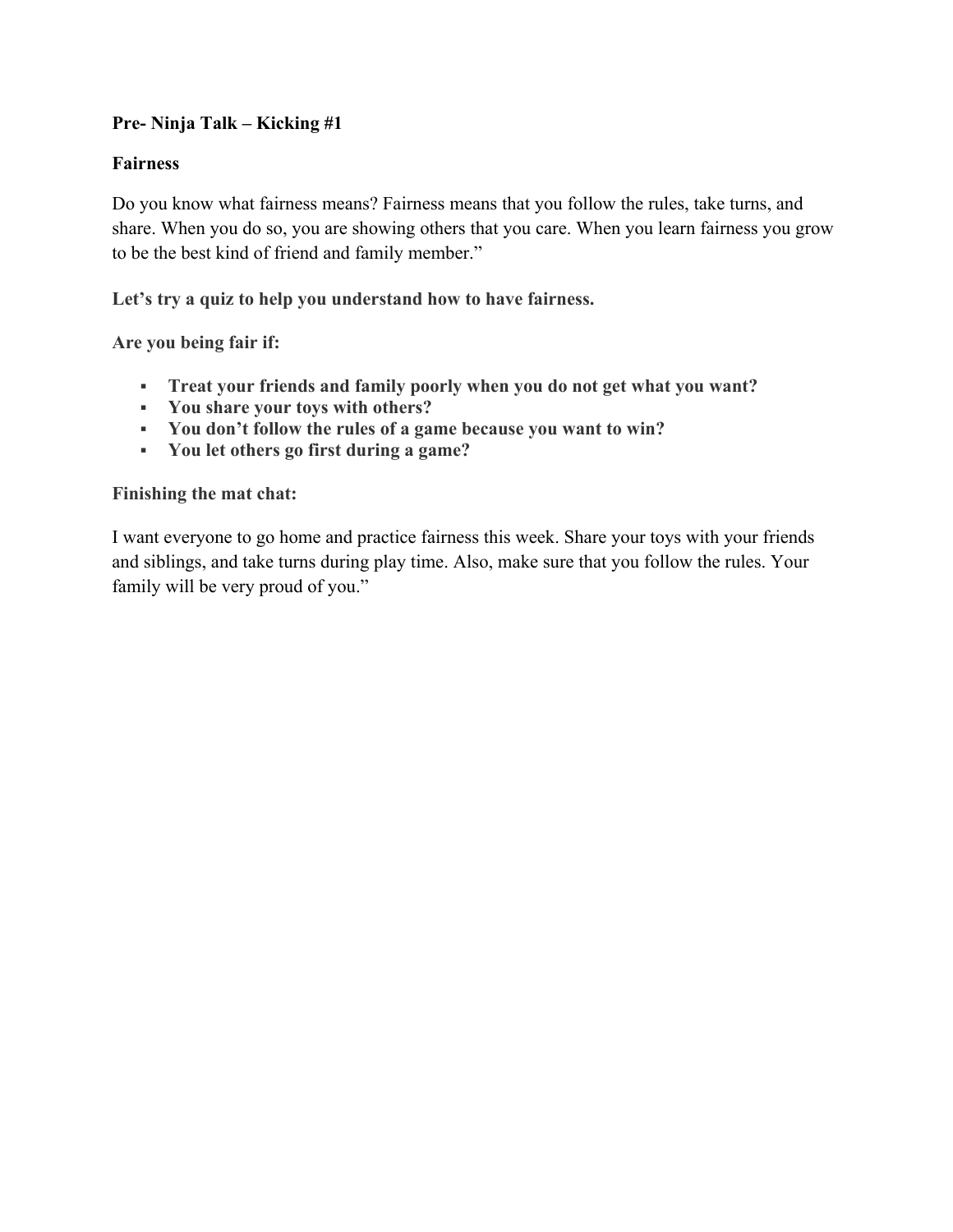# **Pre- Ninja Talk – Kicking #1**

# **Fairness**

Do you know what fairness means? Fairness means that you follow the rules, take turns, and share. When you do so, you are showing others that you care. When you learn fairness you grow to be the best kind of friend and family member."

**Let's try a quiz to help you understand how to have fairness.** 

**Are you being fair if:**

- **Treat your friends and family poorly when you do not get what you want?**
- **You share your toys with others?**
- **You don't follow the rules of a game because you want to win?**
- **You let others go first during a game?**

# **Finishing the mat chat:**

I want everyone to go home and practice fairness this week. Share your toys with your friends and siblings, and take turns during play time. Also, make sure that you follow the rules. Your family will be very proud of you."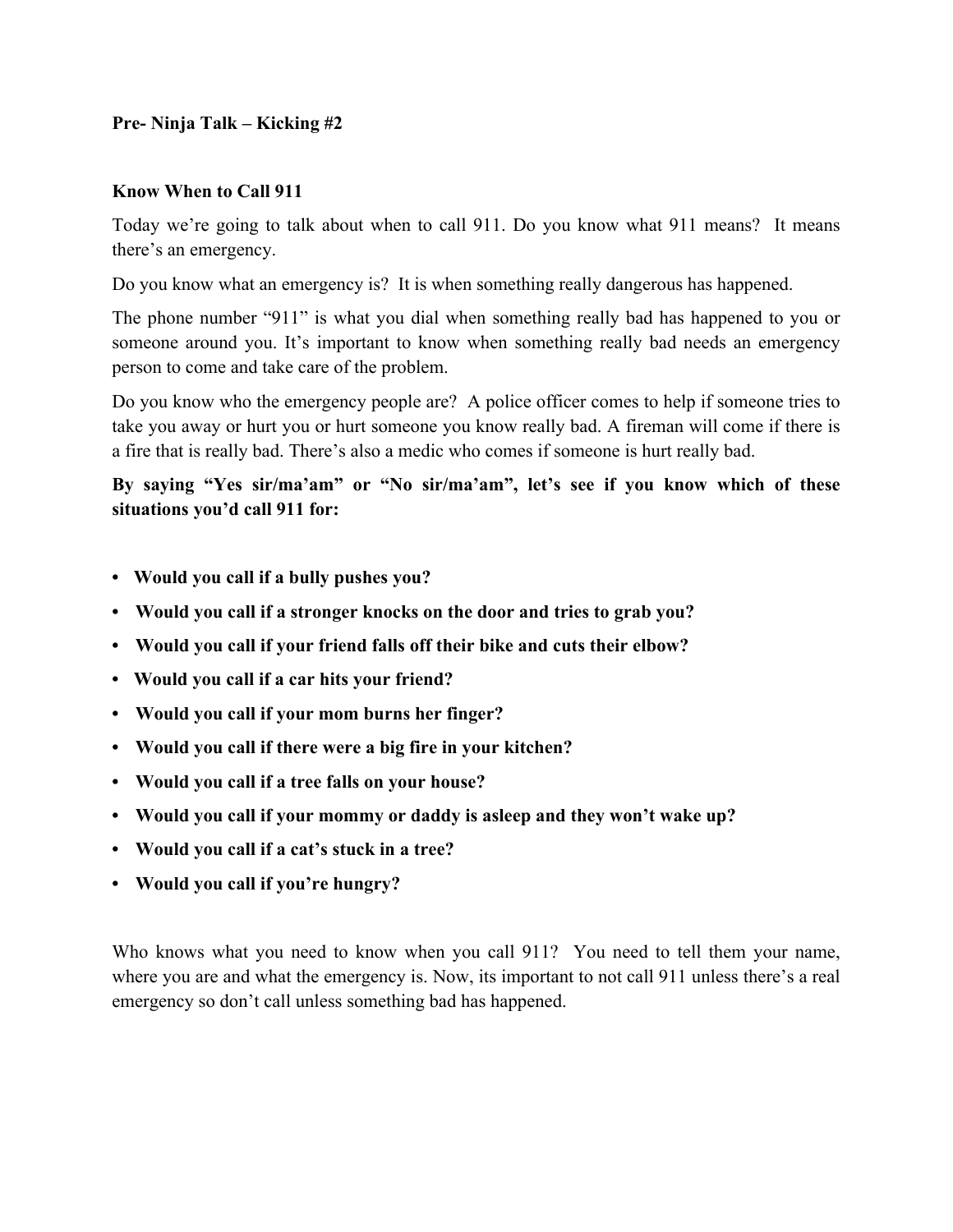# **Pre- Ninja Talk – Kicking #2**

#### **Know When to Call 911**

Today we're going to talk about when to call 911. Do you know what 911 means? It means there's an emergency.

Do you know what an emergency is? It is when something really dangerous has happened.

The phone number "911" is what you dial when something really bad has happened to you or someone around you. It's important to know when something really bad needs an emergency person to come and take care of the problem.

Do you know who the emergency people are? A police officer comes to help if someone tries to take you away or hurt you or hurt someone you know really bad. A fireman will come if there is a fire that is really bad. There's also a medic who comes if someone is hurt really bad.

**By saying "Yes sir/ma'am" or "No sir/ma'am", let's see if you know which of these situations you'd call 911 for:**

- **• Would you call if a bully pushes you?**
- **• Would you call if a stronger knocks on the door and tries to grab you?**
- **• Would you call if your friend falls off their bike and cuts their elbow?**
- **• Would you call if a car hits your friend?**
- **• Would you call if your mom burns her finger?**
- **• Would you call if there were a big fire in your kitchen?**
- **• Would you call if a tree falls on your house?**
- **• Would you call if your mommy or daddy is asleep and they won't wake up?**
- **• Would you call if a cat's stuck in a tree?**
- **• Would you call if you're hungry?**

Who knows what you need to know when you call 911? You need to tell them your name, where you are and what the emergency is. Now, its important to not call 911 unless there's a real emergency so don't call unless something bad has happened.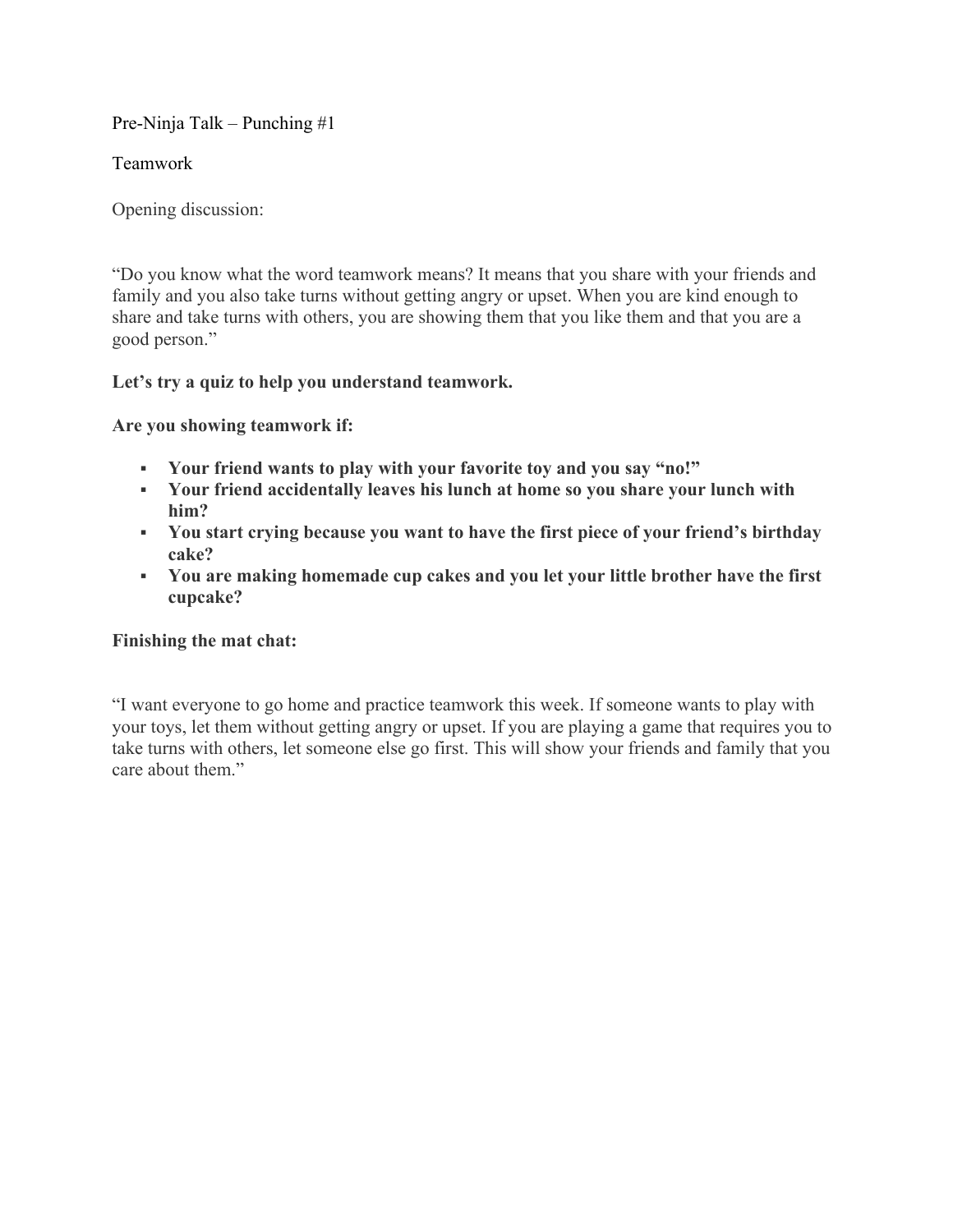Pre-Ninja Talk – Punching #1

Teamwork

Opening discussion:

"Do you know what the word teamwork means? It means that you share with your friends and family and you also take turns without getting angry or upset. When you are kind enough to share and take turns with others, you are showing them that you like them and that you are a good person."

# **Let's try a quiz to help you understand teamwork.**

**Are you showing teamwork if:**

- **Your friend wants to play with your favorite toy and you say "no!"**
- **Your friend accidentally leaves his lunch at home so you share your lunch with him?**
- **You start crying because you want to have the first piece of your friend's birthday cake?**
- **You are making homemade cup cakes and you let your little brother have the first cupcake?**

# **Finishing the mat chat:**

"I want everyone to go home and practice teamwork this week. If someone wants to play with your toys, let them without getting angry or upset. If you are playing a game that requires you to take turns with others, let someone else go first. This will show your friends and family that you care about them."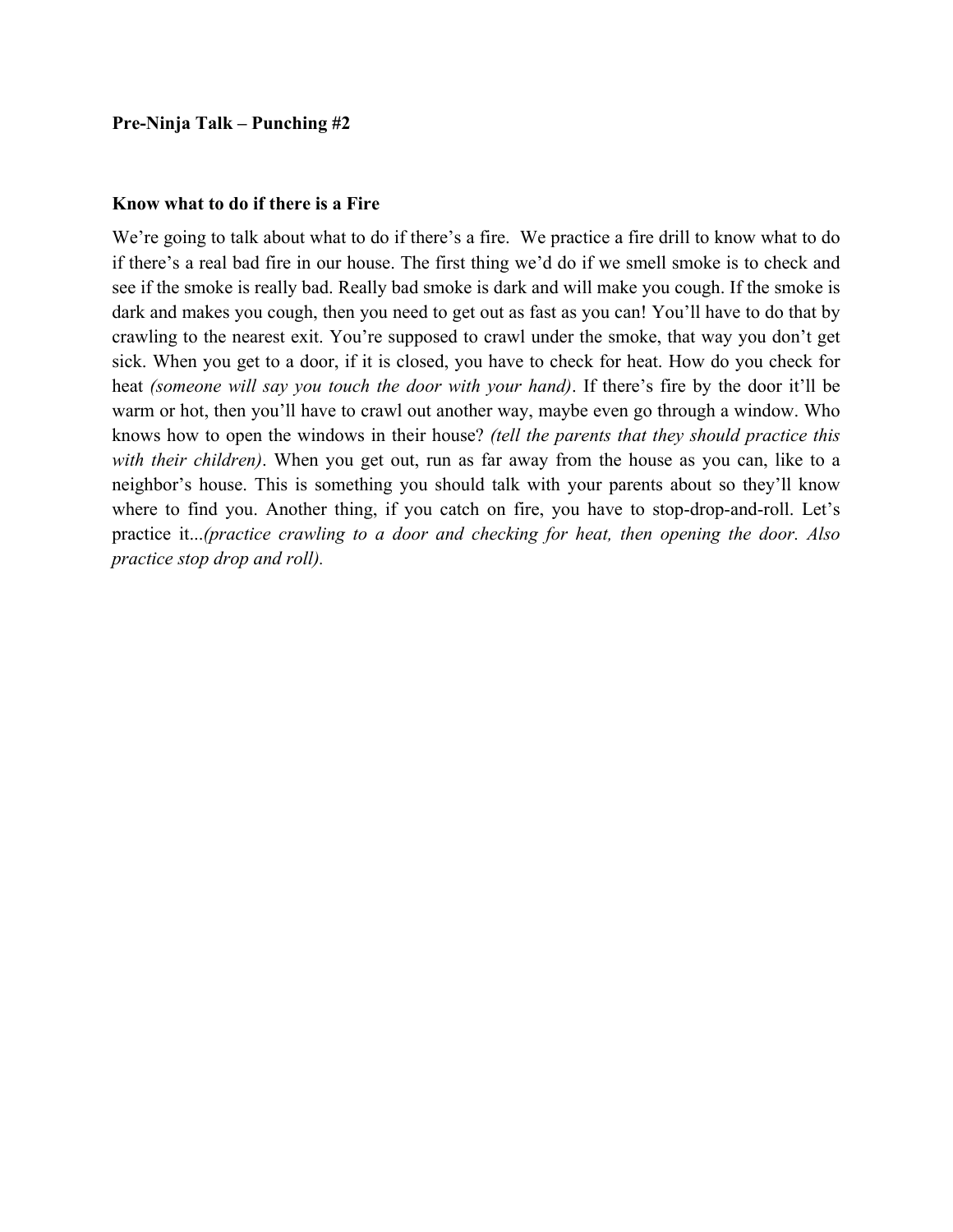#### **Know what to do if there is a Fire**

We're going to talk about what to do if there's a fire. We practice a fire drill to know what to do if there's a real bad fire in our house. The first thing we'd do if we smell smoke is to check and see if the smoke is really bad. Really bad smoke is dark and will make you cough. If the smoke is dark and makes you cough, then you need to get out as fast as you can! You'll have to do that by crawling to the nearest exit. You're supposed to crawl under the smoke, that way you don't get sick. When you get to a door, if it is closed, you have to check for heat. How do you check for heat *(someone will say you touch the door with your hand)*. If there's fire by the door it'll be warm or hot, then you'll have to crawl out another way, maybe even go through a window. Who knows how to open the windows in their house? *(tell the parents that they should practice this with their children)*. When you get out, run as far away from the house as you can, like to a neighbor's house. This is something you should talk with your parents about so they'll know where to find you. Another thing, if you catch on fire, you have to stop-drop-and-roll. Let's practice it...*(practice crawling to a door and checking for heat, then opening the door. Also practice stop drop and roll).*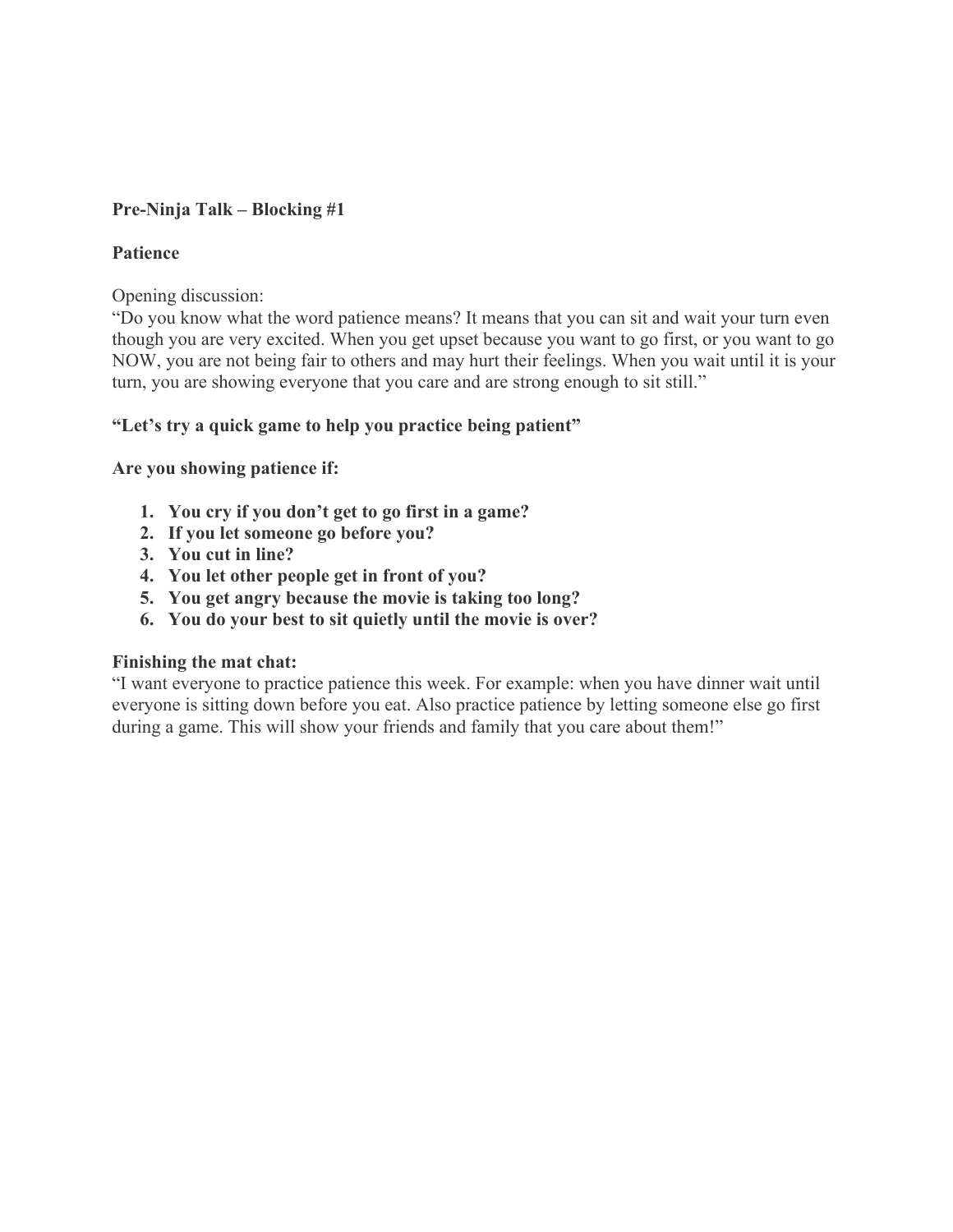# **Pre-Ninja Talk – Blocking #1**

# **Patience**

Opening discussion:

"Do you know what the word patience means? It means that you can sit and wait your turn even though you are very excited. When you get upset because you want to go first, or you want to go NOW, you are not being fair to others and may hurt their feelings. When you wait until it is your turn, you are showing everyone that you care and are strong enough to sit still."

# **"Let's try a quick game to help you practice being patient"**

**Are you showing patience if:**

- **1. You cry if you don't get to go first in a game?**
- **2. If you let someone go before you?**
- **3. You cut in line?**
- **4. You let other people get in front of you?**
- **5. You get angry because the movie is taking too long?**
- **6. You do your best to sit quietly until the movie is over?**

#### **Finishing the mat chat:**

"I want everyone to practice patience this week. For example: when you have dinner wait until everyone is sitting down before you eat. Also practice patience by letting someone else go first during a game. This will show your friends and family that you care about them!"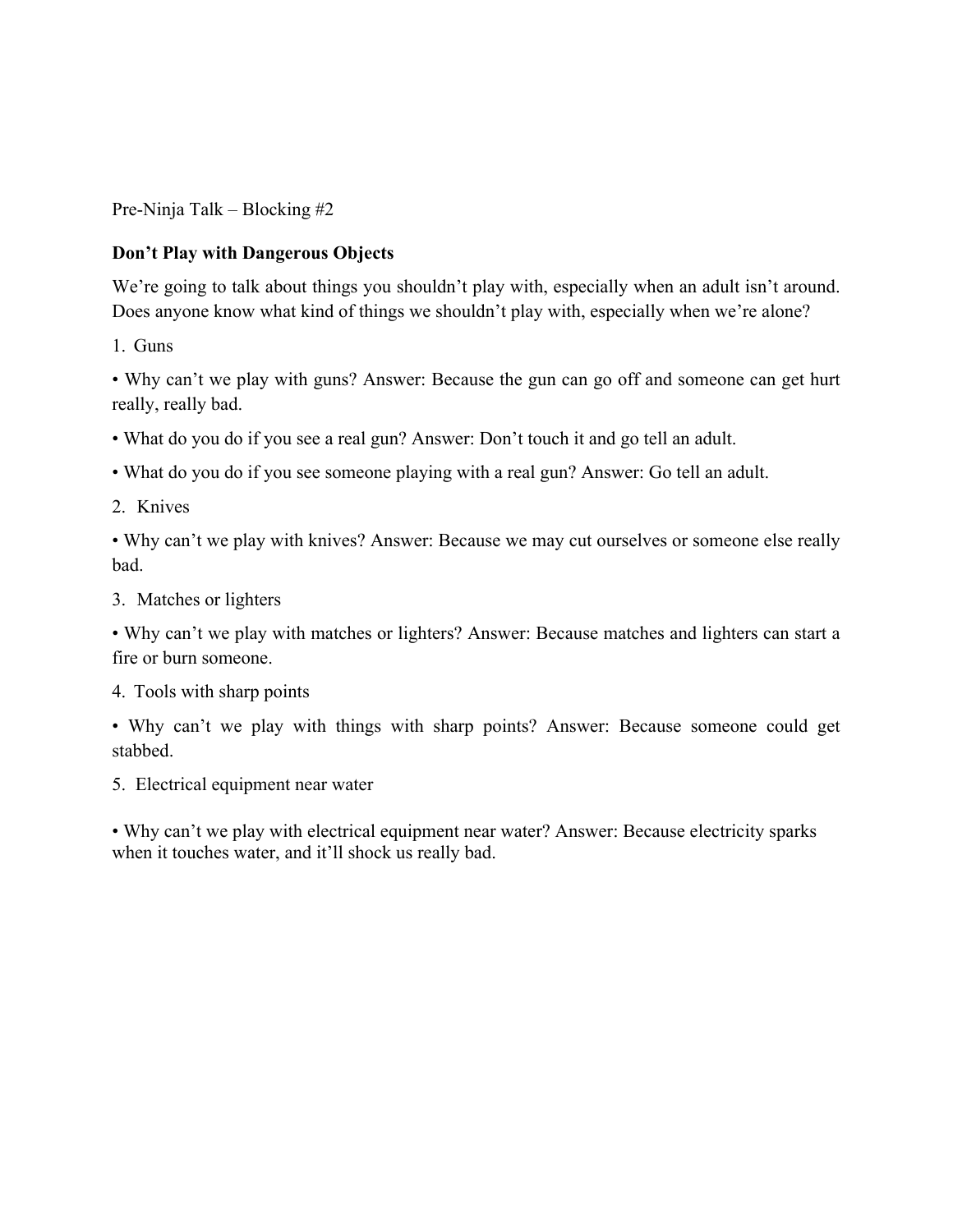Pre-Ninja Talk – Blocking #2

# **Don't Play with Dangerous Objects**

We're going to talk about things you shouldn't play with, especially when an adult isn't around. Does anyone know what kind of things we shouldn't play with, especially when we're alone?

1. Guns

• Why can't we play with guns? Answer: Because the gun can go off and someone can get hurt really, really bad.

• What do you do if you see a real gun? Answer: Don't touch it and go tell an adult.

• What do you do if you see someone playing with a real gun? Answer: Go tell an adult.

2. Knives

• Why can't we play with knives? Answer: Because we may cut ourselves or someone else really bad.

3. Matches or lighters

• Why can't we play with matches or lighters? Answer: Because matches and lighters can start a fire or burn someone.

4. Tools with sharp points

• Why can't we play with things with sharp points? Answer: Because someone could get stabbed.

5. Electrical equipment near water

• Why can't we play with electrical equipment near water? Answer: Because electricity sparks when it touches water, and it'll shock us really bad.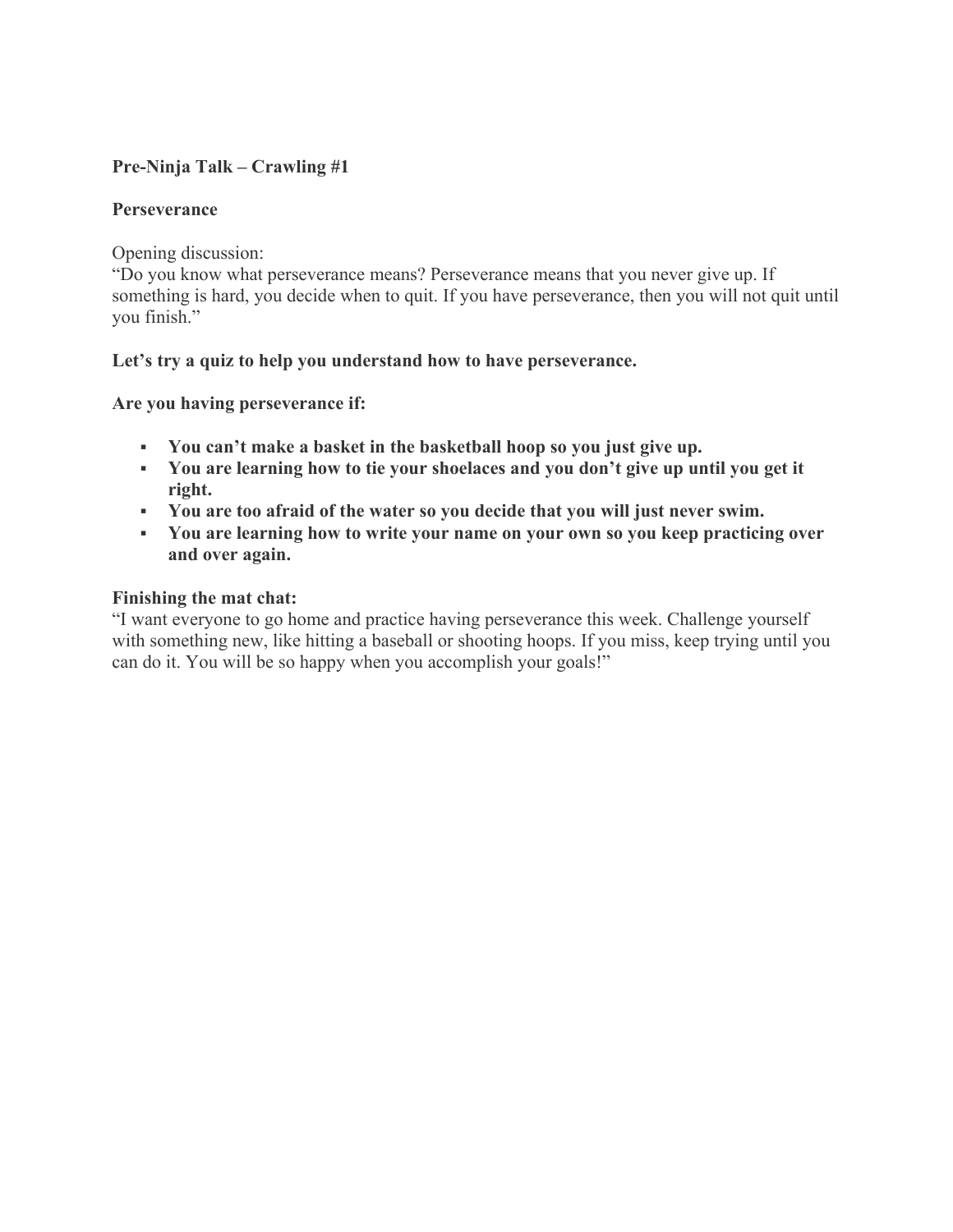# **Pre-Ninja Talk – Crawling #1**

# **Perseverance**

Opening discussion:

"Do you know what perseverance means? Perseverance means that you never give up. If something is hard, you decide when to quit. If you have perseverance, then you will not quit until you finish."

# **Let's try a quiz to help you understand how to have perseverance.**

**Are you having perseverance if:**

- **You can't make a basket in the basketball hoop so you just give up.**
- **You are learning how to tie your shoelaces and you don't give up until you get it right.**
- **You are too afraid of the water so you decide that you will just never swim.**
- **You are learning how to write your name on your own so you keep practicing over and over again.**

# **Finishing the mat chat:**

"I want everyone to go home and practice having perseverance this week. Challenge yourself with something new, like hitting a baseball or shooting hoops. If you miss, keep trying until you can do it. You will be so happy when you accomplish your goals!"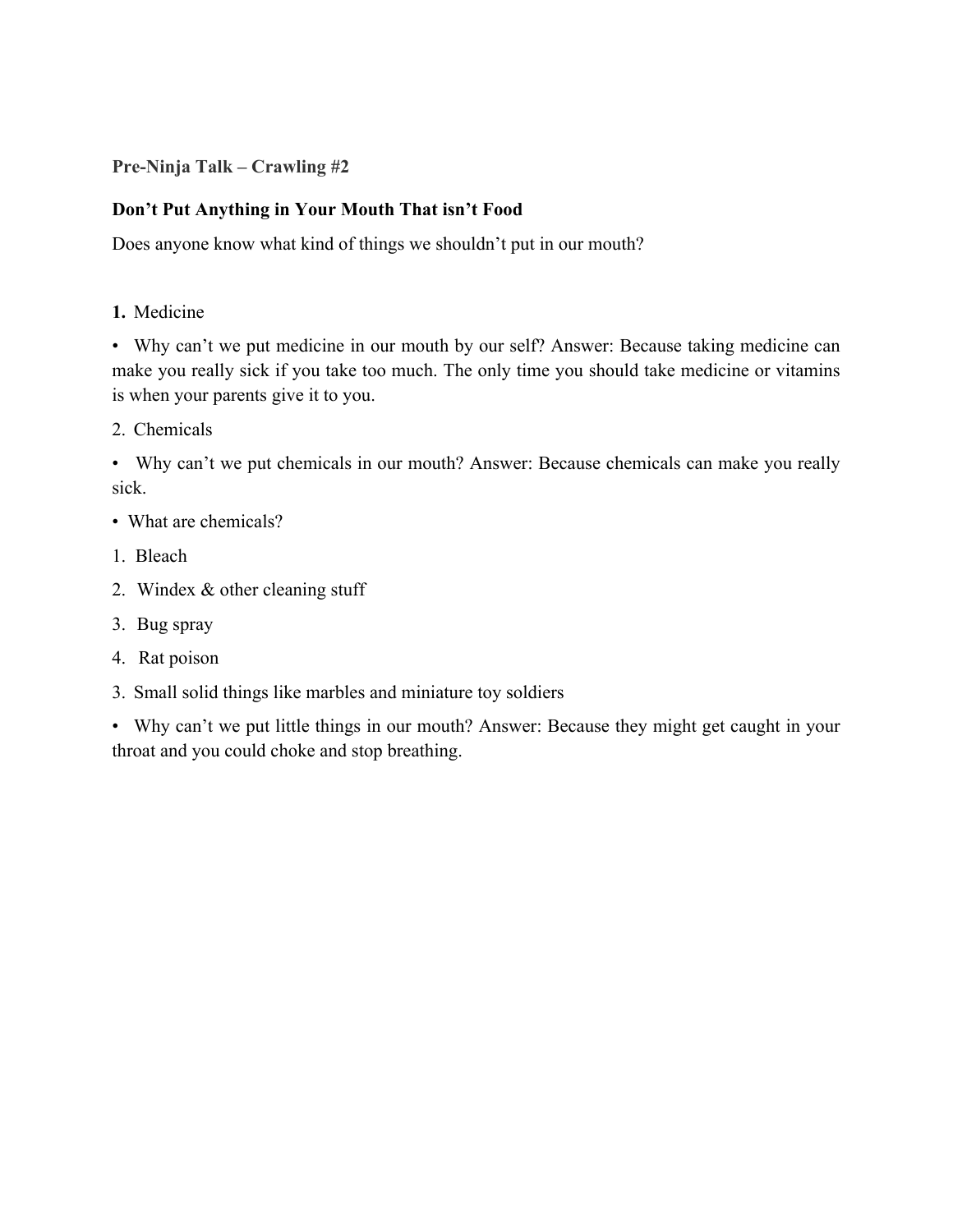**Pre-Ninja Talk – Crawling #2**

# **Don't Put Anything in Your Mouth That isn't Food**

Does anyone know what kind of things we shouldn't put in our mouth?

**1.** Medicine

• Why can't we put medicine in our mouth by our self? Answer: Because taking medicine can make you really sick if you take too much. The only time you should take medicine or vitamins is when your parents give it to you.

2. Chemicals

• Why can't we put chemicals in our mouth? Answer: Because chemicals can make you really sick.

- What are chemicals?
- 1. Bleach
- 2. Windex & other cleaning stuff
- 3. Bug spray
- 4. Rat poison
- 3. Small solid things like marbles and miniature toy soldiers

• Why can't we put little things in our mouth? Answer: Because they might get caught in your throat and you could choke and stop breathing.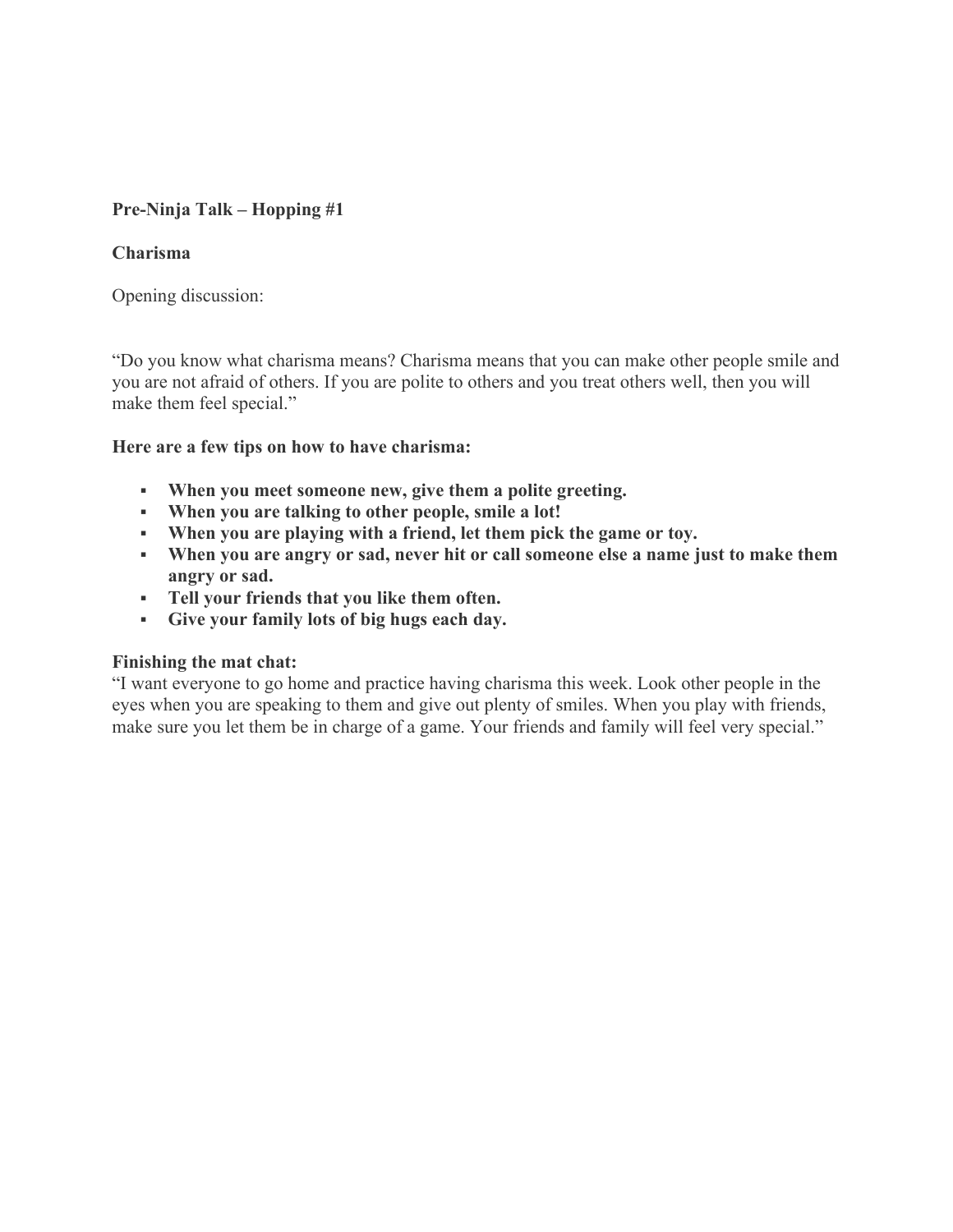# **Pre-Ninja Talk – Hopping #1**

# **Charisma**

Opening discussion:

"Do you know what charisma means? Charisma means that you can make other people smile and you are not afraid of others. If you are polite to others and you treat others well, then you will make them feel special."

# **Here are a few tips on how to have charisma:**

- **When you meet someone new, give them a polite greeting.**
- **When you are talking to other people, smile a lot!**
- **When you are playing with a friend, let them pick the game or toy.**
- **When you are angry or sad, never hit or call someone else a name just to make them angry or sad.**
- **Tell your friends that you like them often.**
- **Give your family lots of big hugs each day.**

#### **Finishing the mat chat:**

"I want everyone to go home and practice having charisma this week. Look other people in the eyes when you are speaking to them and give out plenty of smiles. When you play with friends, make sure you let them be in charge of a game. Your friends and family will feel very special."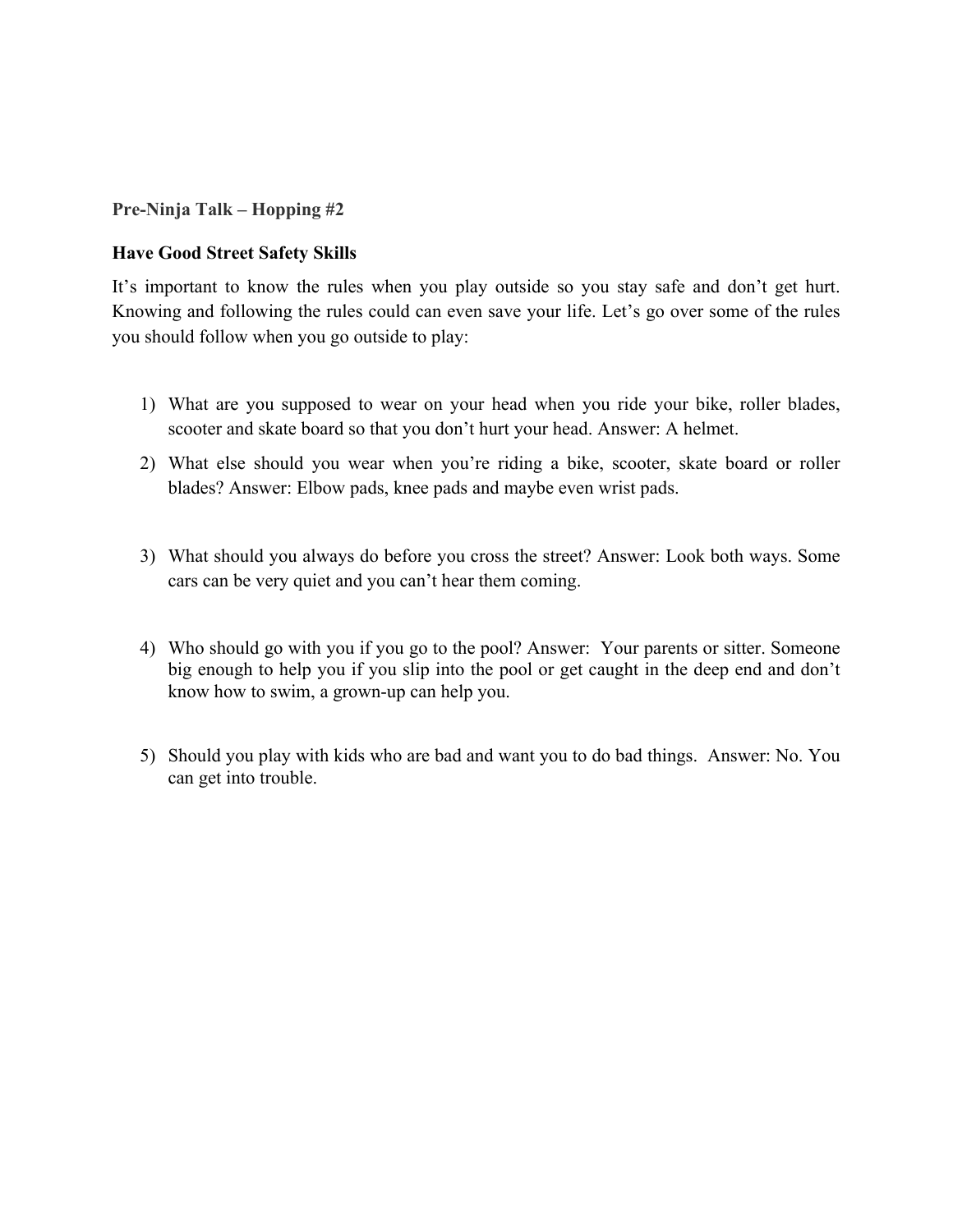**Pre-Ninja Talk – Hopping #2**

# **Have Good Street Safety Skills**

It's important to know the rules when you play outside so you stay safe and don't get hurt. Knowing and following the rules could can even save your life. Let's go over some of the rules you should follow when you go outside to play:

- 1) What are you supposed to wear on your head when you ride your bike, roller blades, scooter and skate board so that you don't hurt your head. Answer: A helmet.
- 2) What else should you wear when you're riding a bike, scooter, skate board or roller blades? Answer: Elbow pads, knee pads and maybe even wrist pads.
- 3) What should you always do before you cross the street? Answer: Look both ways. Some cars can be very quiet and you can't hear them coming.
- 4) Who should go with you if you go to the pool? Answer: Your parents or sitter. Someone big enough to help you if you slip into the pool or get caught in the deep end and don't know how to swim, a grown-up can help you.
- 5) Should you play with kids who are bad and want you to do bad things. Answer: No. You can get into trouble.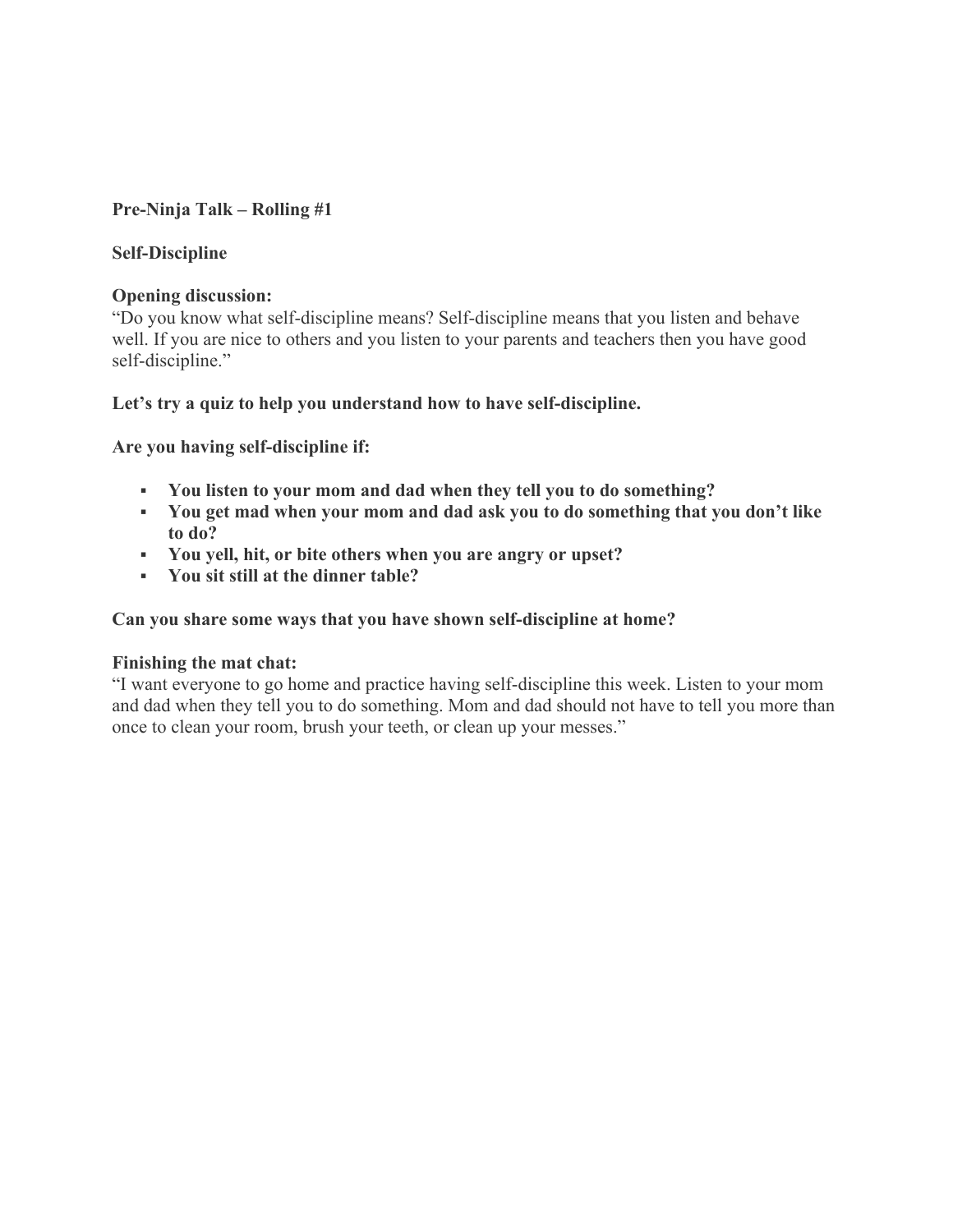# **Pre-Ninja Talk – Rolling #1**

# **Self-Discipline**

#### **Opening discussion:**

"Do you know what self-discipline means? Self-discipline means that you listen and behave well. If you are nice to others and you listen to your parents and teachers then you have good self-discipline."

# **Let's try a quiz to help you understand how to have self-discipline.**

**Are you having self-discipline if:**

- **You listen to your mom and dad when they tell you to do something?**
- **You get mad when your mom and dad ask you to do something that you don't like to do?**
- **You yell, hit, or bite others when you are angry or upset?**
- **You sit still at the dinner table?**

#### **Can you share some ways that you have shown self-discipline at home?**

#### **Finishing the mat chat:**

"I want everyone to go home and practice having self-discipline this week. Listen to your mom and dad when they tell you to do something. Mom and dad should not have to tell you more than once to clean your room, brush your teeth, or clean up your messes."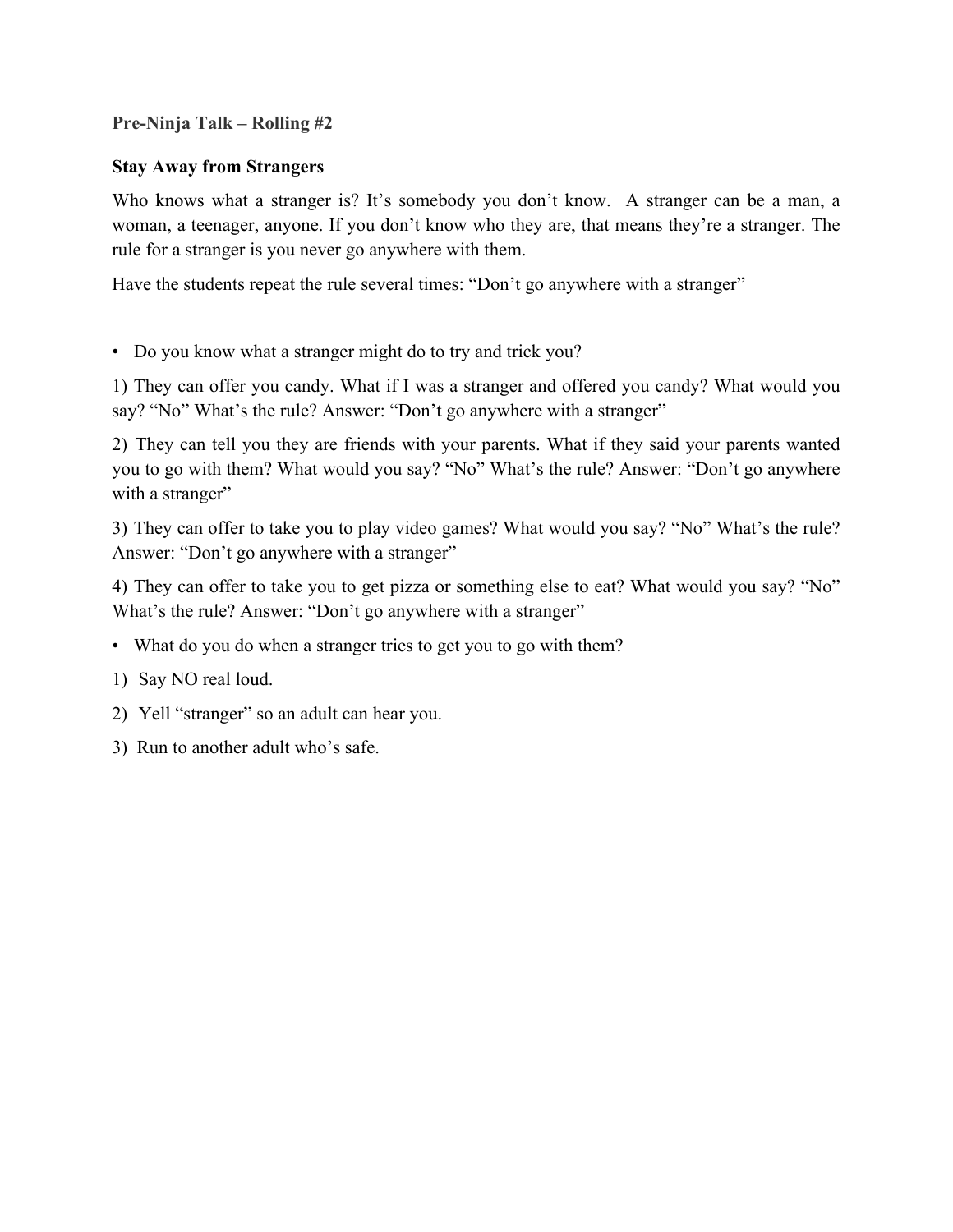# **Pre-Ninja Talk – Rolling #2**

# **Stay Away from Strangers**

Who knows what a stranger is? It's somebody you don't know. A stranger can be a man, a woman, a teenager, anyone. If you don't know who they are, that means they're a stranger. The rule for a stranger is you never go anywhere with them.

Have the students repeat the rule several times: "Don't go anywhere with a stranger"

• Do you know what a stranger might do to try and trick you?

1) They can offer you candy. What if I was a stranger and offered you candy? What would you say? "No" What's the rule? Answer: "Don't go anywhere with a stranger"

2) They can tell you they are friends with your parents. What if they said your parents wanted you to go with them? What would you say? "No" What's the rule? Answer: "Don't go anywhere with a stranger"

3) They can offer to take you to play video games? What would you say? "No" What's the rule? Answer: "Don't go anywhere with a stranger"

4) They can offer to take you to get pizza or something else to eat? What would you say? "No" What's the rule? Answer: "Don't go anywhere with a stranger"

- What do you do when a stranger tries to get you to go with them?
- 1) Say NO real loud.
- 2) Yell "stranger" so an adult can hear you.
- 3) Run to another adult who's safe.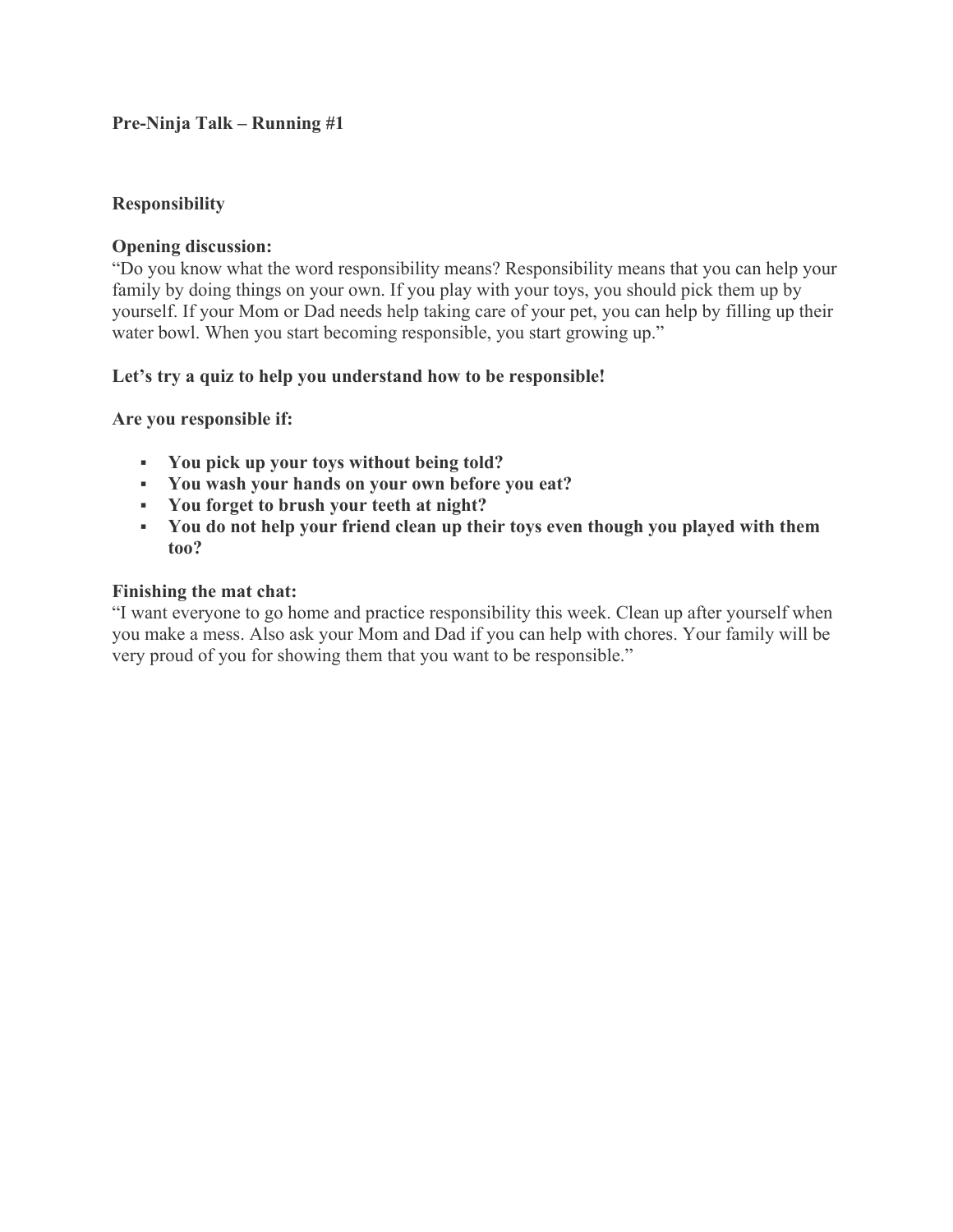# **Pre-Ninja Talk – Running #1**

#### **Responsibility**

#### **Opening discussion:**

"Do you know what the word responsibility means? Responsibility means that you can help your family by doing things on your own. If you play with your toys, you should pick them up by yourself. If your Mom or Dad needs help taking care of your pet, you can help by filling up their water bowl. When you start becoming responsible, you start growing up."

# **Let's try a quiz to help you understand how to be responsible!**

#### **Are you responsible if:**

- **You pick up your toys without being told?**
- **You wash your hands on your own before you eat?**
- **You forget to brush your teeth at night?**
- **You do not help your friend clean up their toys even though you played with them too?**

#### **Finishing the mat chat:**

"I want everyone to go home and practice responsibility this week. Clean up after yourself when you make a mess. Also ask your Mom and Dad if you can help with chores. Your family will be very proud of you for showing them that you want to be responsible."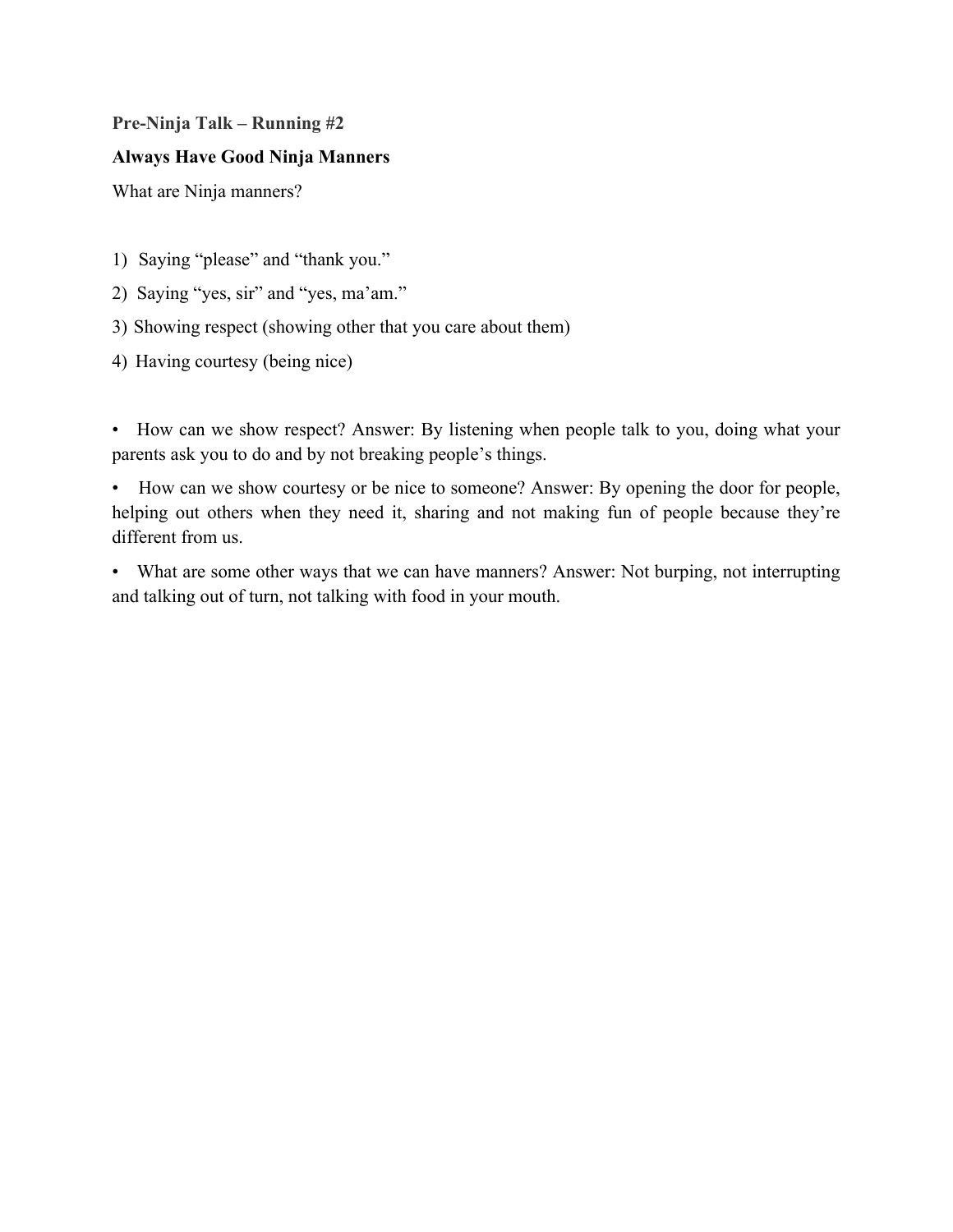# **Pre-Ninja Talk – Running #2**

# **Always Have Good Ninja Manners**

What are Ninja manners?

- 1) Saying "please" and "thank you."
- 2) Saying "yes, sir" and "yes, ma'am."
- 3) Showing respect (showing other that you care about them)
- 4) Having courtesy (being nice)

• How can we show respect? Answer: By listening when people talk to you, doing what your parents ask you to do and by not breaking people's things.

• How can we show courtesy or be nice to someone? Answer: By opening the door for people, helping out others when they need it, sharing and not making fun of people because they're different from us.

• What are some other ways that we can have manners? Answer: Not burping, not interrupting and talking out of turn, not talking with food in your mouth.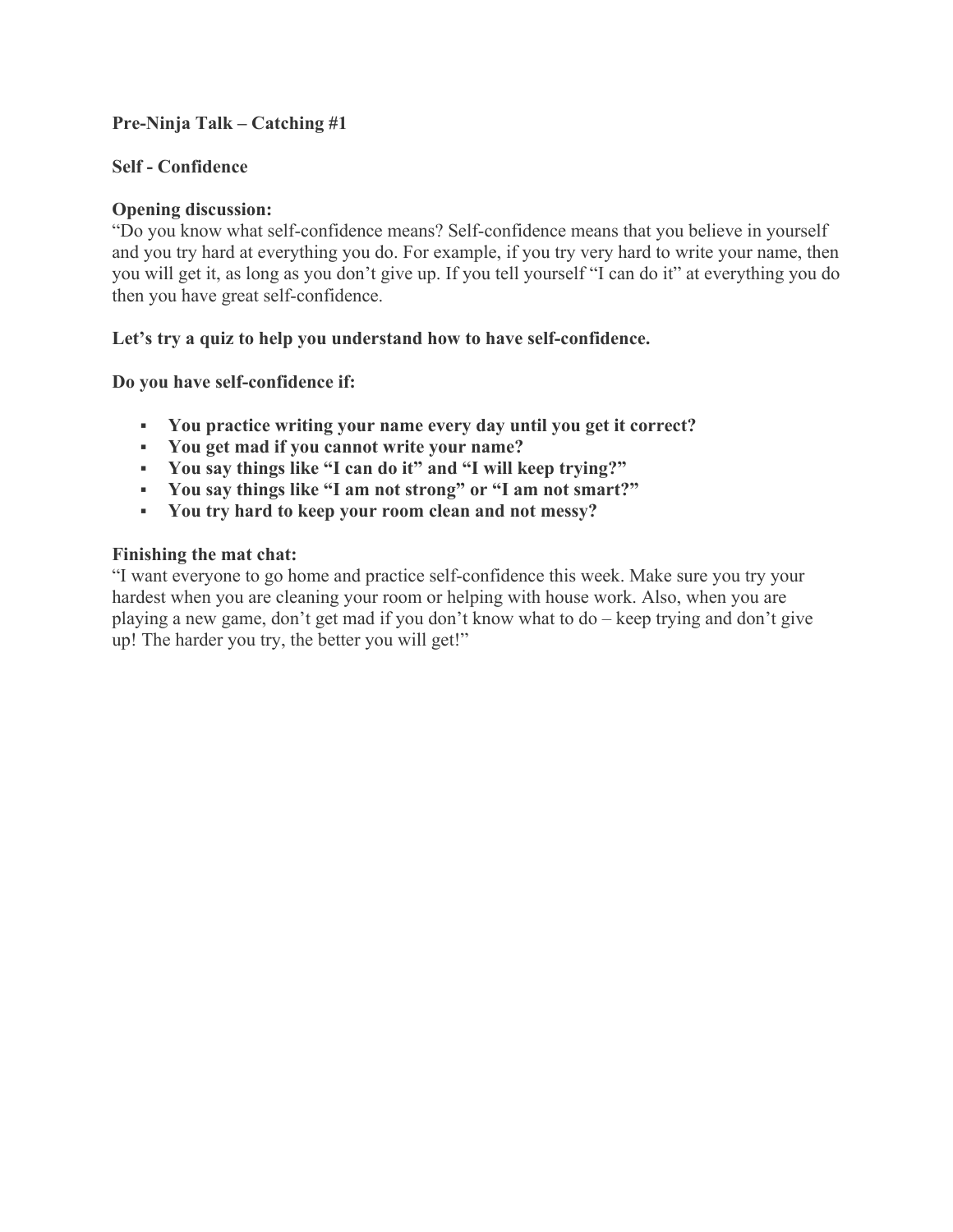# **Pre-Ninja Talk – Catching #1**

# **Self - Confidence**

# **Opening discussion:**

"Do you know what self-confidence means? Self-confidence means that you believe in yourself and you try hard at everything you do. For example, if you try very hard to write your name, then you will get it, as long as you don't give up. If you tell yourself "I can do it" at everything you do then you have great self-confidence.

# **Let's try a quiz to help you understand how to have self-confidence.**

**Do you have self-confidence if:**

- **You practice writing your name every day until you get it correct?**
- **You get mad if you cannot write your name?**
- **You say things like "I can do it" and "I will keep trying?"**
- **You say things like "I am not strong" or "I am not smart?"**
- **You try hard to keep your room clean and not messy?**

# **Finishing the mat chat:**

"I want everyone to go home and practice self-confidence this week. Make sure you try your hardest when you are cleaning your room or helping with house work. Also, when you are playing a new game, don't get mad if you don't know what to do – keep trying and don't give up! The harder you try, the better you will get!"